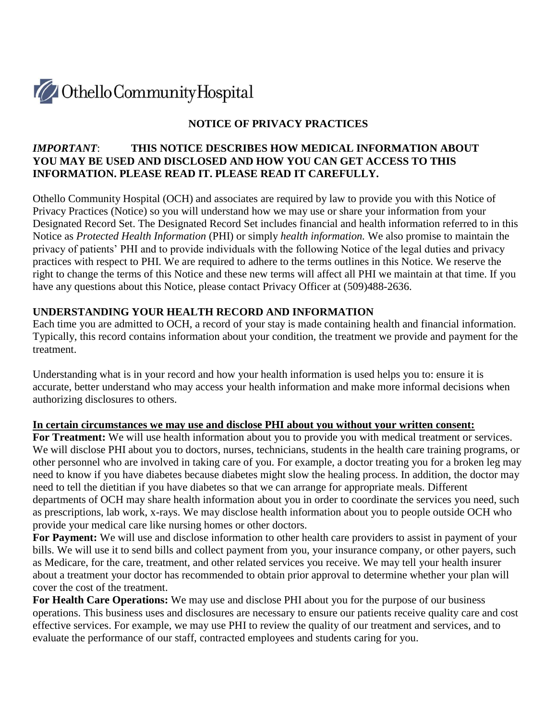

# **NOTICE OF PRIVACY PRACTICES**

#### *IMPORTANT*: **THIS NOTICE DESCRIBES HOW MEDICAL INFORMATION ABOUT YOU MAY BE USED AND DISCLOSED AND HOW YOU CAN GET ACCESS TO THIS INFORMATION. PLEASE READ IT. PLEASE READ IT CAREFULLY.**

Othello Community Hospital (OCH) and associates are required by law to provide you with this Notice of Privacy Practices (Notice) so you will understand how we may use or share your information from your Designated Record Set. The Designated Record Set includes financial and health information referred to in this Notice as *Protected Health Information* (PHI) or simply *health information.* We also promise to maintain the privacy of patients' PHI and to provide individuals with the following Notice of the legal duties and privacy practices with respect to PHI. We are required to adhere to the terms outlines in this Notice. We reserve the right to change the terms of this Notice and these new terms will affect all PHI we maintain at that time. If you have any questions about this Notice, please contact Privacy Officer at (509)488-2636.

## **UNDERSTANDING YOUR HEALTH RECORD AND INFORMATION**

Each time you are admitted to OCH, a record of your stay is made containing health and financial information. Typically, this record contains information about your condition, the treatment we provide and payment for the treatment.

Understanding what is in your record and how your health information is used helps you to: ensure it is accurate, better understand who may access your health information and make more informal decisions when authorizing disclosures to others.

## **In certain circumstances we may use and disclose PHI about you without your written consent:**

**For Treatment:** We will use health information about you to provide you with medical treatment or services. We will disclose PHI about you to doctors, nurses, technicians, students in the health care training programs, or other personnel who are involved in taking care of you. For example, a doctor treating you for a broken leg may need to know if you have diabetes because diabetes might slow the healing process. In addition, the doctor may need to tell the dietitian if you have diabetes so that we can arrange for appropriate meals. Different departments of OCH may share health information about you in order to coordinate the services you need, such as prescriptions, lab work, x-rays. We may disclose health information about you to people outside OCH who provide your medical care like nursing homes or other doctors.

**For Payment:** We will use and disclose information to other health care providers to assist in payment of your bills. We will use it to send bills and collect payment from you, your insurance company, or other payers, such as Medicare, for the care, treatment, and other related services you receive. We may tell your health insurer about a treatment your doctor has recommended to obtain prior approval to determine whether your plan will cover the cost of the treatment.

**For Health Care Operations:** We may use and disclose PHI about you for the purpose of our business operations. This business uses and disclosures are necessary to ensure our patients receive quality care and cost effective services. For example, we may use PHI to review the quality of our treatment and services, and to evaluate the performance of our staff, contracted employees and students caring for you.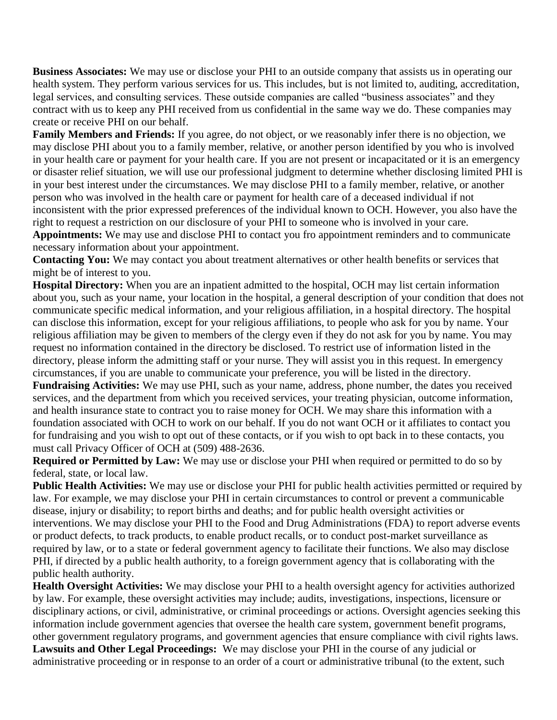**Business Associates:** We may use or disclose your PHI to an outside company that assists us in operating our health system. They perform various services for us. This includes, but is not limited to, auditing, accreditation, legal services, and consulting services. These outside companies are called "business associates" and they contract with us to keep any PHI received from us confidential in the same way we do. These companies may create or receive PHI on our behalf.

**Family Members and Friends:** If you agree, do not object, or we reasonably infer there is no objection, we may disclose PHI about you to a family member, relative, or another person identified by you who is involved in your health care or payment for your health care. If you are not present or incapacitated or it is an emergency or disaster relief situation, we will use our professional judgment to determine whether disclosing limited PHI is in your best interest under the circumstances. We may disclose PHI to a family member, relative, or another person who was involved in the health care or payment for health care of a deceased individual if not inconsistent with the prior expressed preferences of the individual known to OCH. However, you also have the right to request a restriction on our disclosure of your PHI to someone who is involved in your care. **Appointments:** We may use and disclose PHI to contact you fro appointment reminders and to communicate

necessary information about your appointment.

**Contacting You:** We may contact you about treatment alternatives or other health benefits or services that might be of interest to you.

**Hospital Directory:** When you are an inpatient admitted to the hospital, OCH may list certain information about you, such as your name, your location in the hospital, a general description of your condition that does not communicate specific medical information, and your religious affiliation, in a hospital directory. The hospital can disclose this information, except for your religious affiliations, to people who ask for you by name. Your religious affiliation may be given to members of the clergy even if they do not ask for you by name. You may request no information contained in the directory be disclosed. To restrict use of information listed in the directory, please inform the admitting staff or your nurse. They will assist you in this request. In emergency circumstances, if you are unable to communicate your preference, you will be listed in the directory.

**Fundraising Activities:** We may use PHI, such as your name, address, phone number, the dates you received services, and the department from which you received services, your treating physician, outcome information, and health insurance state to contract you to raise money for OCH. We may share this information with a foundation associated with OCH to work on our behalf. If you do not want OCH or it affiliates to contact you for fundraising and you wish to opt out of these contacts, or if you wish to opt back in to these contacts, you must call Privacy Officer of OCH at (509) 488-2636.

**Required or Permitted by Law:** We may use or disclose your PHI when required or permitted to do so by federal, state, or local law.

**Public Health Activities:** We may use or disclose your PHI for public health activities permitted or required by law. For example, we may disclose your PHI in certain circumstances to control or prevent a communicable disease, injury or disability; to report births and deaths; and for public health oversight activities or interventions. We may disclose your PHI to the Food and Drug Administrations (FDA) to report adverse events or product defects, to track products, to enable product recalls, or to conduct post-market surveillance as required by law, or to a state or federal government agency to facilitate their functions. We also may disclose PHI, if directed by a public health authority, to a foreign government agency that is collaborating with the public health authority.

**Health Oversight Activities:** We may disclose your PHI to a health oversight agency for activities authorized by law. For example, these oversight activities may include; audits, investigations, inspections, licensure or disciplinary actions, or civil, administrative, or criminal proceedings or actions. Oversight agencies seeking this information include government agencies that oversee the health care system, government benefit programs, other government regulatory programs, and government agencies that ensure compliance with civil rights laws. **Lawsuits and Other Legal Proceedings:** We may disclose your PHI in the course of any judicial or administrative proceeding or in response to an order of a court or administrative tribunal (to the extent, such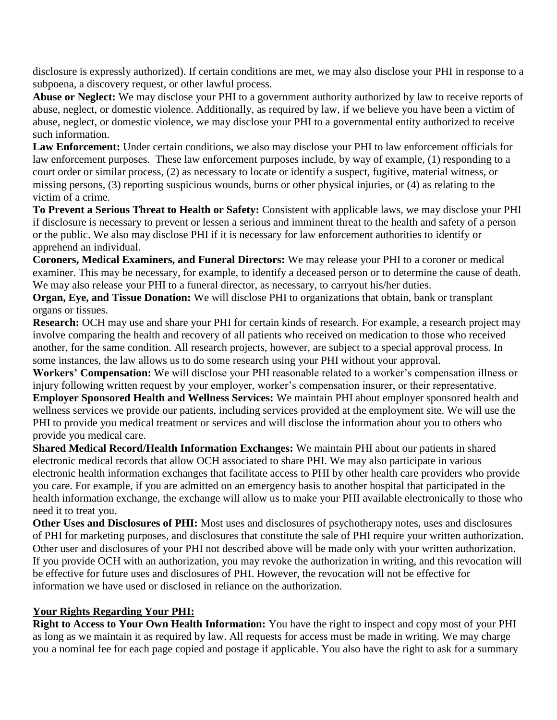disclosure is expressly authorized). If certain conditions are met, we may also disclose your PHI in response to a subpoena, a discovery request, or other lawful process.

**Abuse or Neglect:** We may disclose your PHI to a government authority authorized by law to receive reports of abuse, neglect, or domestic violence. Additionally, as required by law, if we believe you have been a victim of abuse, neglect, or domestic violence, we may disclose your PHI to a governmental entity authorized to receive such information.

**Law Enforcement:** Under certain conditions, we also may disclose your PHI to law enforcement officials for law enforcement purposes. These law enforcement purposes include, by way of example, (1) responding to a court order or similar process, (2) as necessary to locate or identify a suspect, fugitive, material witness, or missing persons, (3) reporting suspicious wounds, burns or other physical injuries, or (4) as relating to the victim of a crime.

**To Prevent a Serious Threat to Health or Safety:** Consistent with applicable laws, we may disclose your PHI if disclosure is necessary to prevent or lessen a serious and imminent threat to the health and safety of a person or the public. We also may disclose PHI if it is necessary for law enforcement authorities to identify or apprehend an individual.

**Coroners, Medical Examiners, and Funeral Directors:** We may release your PHI to a coroner or medical examiner. This may be necessary, for example, to identify a deceased person or to determine the cause of death. We may also release your PHI to a funeral director, as necessary, to carryout his/her duties.

**Organ, Eye, and Tissue Donation:** We will disclose PHI to organizations that obtain, bank or transplant organs or tissues.

**Research:** OCH may use and share your PHI for certain kinds of research. For example, a research project may involve comparing the health and recovery of all patients who received on medication to those who received another, for the same condition. All research projects, however, are subject to a special approval process. In some instances, the law allows us to do some research using your PHI without your approval.

**Workers' Compensation:** We will disclose your PHI reasonable related to a worker's compensation illness or injury following written request by your employer, worker's compensation insurer, or their representative.

**Employer Sponsored Health and Wellness Services:** We maintain PHI about employer sponsored health and wellness services we provide our patients, including services provided at the employment site. We will use the PHI to provide you medical treatment or services and will disclose the information about you to others who provide you medical care.

**Shared Medical Record/Health Information Exchanges:** We maintain PHI about our patients in shared electronic medical records that allow OCH associated to share PHI. We may also participate in various electronic health information exchanges that facilitate access to PHI by other health care providers who provide you care. For example, if you are admitted on an emergency basis to another hospital that participated in the health information exchange, the exchange will allow us to make your PHI available electronically to those who need it to treat you.

**Other Uses and Disclosures of PHI:** Most uses and disclosures of psychotherapy notes, uses and disclosures of PHI for marketing purposes, and disclosures that constitute the sale of PHI require your written authorization. Other user and disclosures of your PHI not described above will be made only with your written authorization. If you provide OCH with an authorization, you may revoke the authorization in writing, and this revocation will be effective for future uses and disclosures of PHI. However, the revocation will not be effective for information we have used or disclosed in reliance on the authorization.

#### **Your Rights Regarding Your PHI:**

**Right to Access to Your Own Health Information:** You have the right to inspect and copy most of your PHI as long as we maintain it as required by law. All requests for access must be made in writing. We may charge you a nominal fee for each page copied and postage if applicable. You also have the right to ask for a summary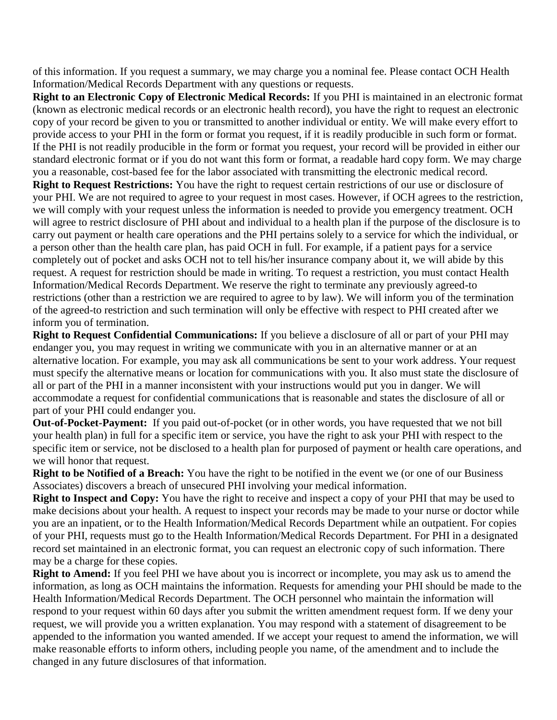of this information. If you request a summary, we may charge you a nominal fee. Please contact OCH Health Information/Medical Records Department with any questions or requests.

**Right to an Electronic Copy of Electronic Medical Records:** If you PHI is maintained in an electronic format (known as electronic medical records or an electronic health record), you have the right to request an electronic copy of your record be given to you or transmitted to another individual or entity. We will make every effort to provide access to your PHI in the form or format you request, if it is readily producible in such form or format. If the PHI is not readily producible in the form or format you request, your record will be provided in either our standard electronic format or if you do not want this form or format, a readable hard copy form. We may charge you a reasonable, cost-based fee for the labor associated with transmitting the electronic medical record.

**Right to Request Restrictions:** You have the right to request certain restrictions of our use or disclosure of your PHI. We are not required to agree to your request in most cases. However, if OCH agrees to the restriction, we will comply with your request unless the information is needed to provide you emergency treatment. OCH will agree to restrict disclosure of PHI about and individual to a health plan if the purpose of the disclosure is to carry out payment or health care operations and the PHI pertains solely to a service for which the individual, or a person other than the health care plan, has paid OCH in full. For example, if a patient pays for a service completely out of pocket and asks OCH not to tell his/her insurance company about it, we will abide by this request. A request for restriction should be made in writing. To request a restriction, you must contact Health Information/Medical Records Department. We reserve the right to terminate any previously agreed-to restrictions (other than a restriction we are required to agree to by law). We will inform you of the termination of the agreed-to restriction and such termination will only be effective with respect to PHI created after we inform you of termination.

**Right to Request Confidential Communications:** If you believe a disclosure of all or part of your PHI may endanger you, you may request in writing we communicate with you in an alternative manner or at an alternative location. For example, you may ask all communications be sent to your work address. Your request must specify the alternative means or location for communications with you. It also must state the disclosure of all or part of the PHI in a manner inconsistent with your instructions would put you in danger. We will accommodate a request for confidential communications that is reasonable and states the disclosure of all or part of your PHI could endanger you.

**Out-of-Pocket-Payment:** If you paid out-of-pocket (or in other words, you have requested that we not bill your health plan) in full for a specific item or service, you have the right to ask your PHI with respect to the specific item or service, not be disclosed to a health plan for purposed of payment or health care operations, and we will honor that request.

**Right to be Notified of a Breach:** You have the right to be notified in the event we (or one of our Business Associates) discovers a breach of unsecured PHI involving your medical information.

**Right to Inspect and Copy:** You have the right to receive and inspect a copy of your PHI that may be used to make decisions about your health. A request to inspect your records may be made to your nurse or doctor while you are an inpatient, or to the Health Information/Medical Records Department while an outpatient. For copies of your PHI, requests must go to the Health Information/Medical Records Department. For PHI in a designated record set maintained in an electronic format, you can request an electronic copy of such information. There may be a charge for these copies.

**Right to Amend:** If you feel PHI we have about you is incorrect or incomplete, you may ask us to amend the information, as long as OCH maintains the information. Requests for amending your PHI should be made to the Health Information/Medical Records Department. The OCH personnel who maintain the information will respond to your request within 60 days after you submit the written amendment request form. If we deny your request, we will provide you a written explanation. You may respond with a statement of disagreement to be appended to the information you wanted amended. If we accept your request to amend the information, we will make reasonable efforts to inform others, including people you name, of the amendment and to include the changed in any future disclosures of that information.